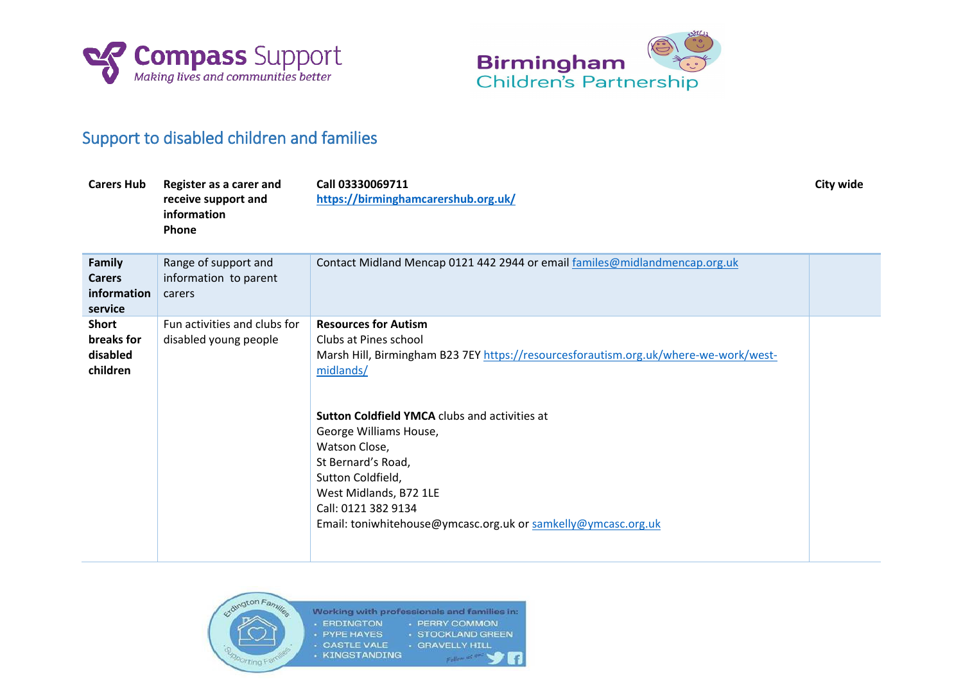



## Support to disabled children and families

| <b>Carers Hub</b> | Register as a carer and | Call 03330069711                    | City wide |
|-------------------|-------------------------|-------------------------------------|-----------|
|                   | receive support and     | https://birminghamcarershub.org.uk/ |           |
|                   | information             |                                     |           |
|                   | <b>Phone</b>            |                                     |           |

| <b>Family</b><br><b>Carers</b><br>information<br>service | Range of support and<br>information to parent<br>carers | Contact Midland Mencap 0121 442 2944 or email familes@midlandmencap.org.uk                                                                                                                                                                                                                                                                                                                                                |
|----------------------------------------------------------|---------------------------------------------------------|---------------------------------------------------------------------------------------------------------------------------------------------------------------------------------------------------------------------------------------------------------------------------------------------------------------------------------------------------------------------------------------------------------------------------|
| <b>Short</b><br>breaks for<br>disabled<br>children       | Fun activities and clubs for<br>disabled young people   | <b>Resources for Autism</b><br>Clubs at Pines school<br>Marsh Hill, Birmingham B23 7EY https://resourcesforautism.org.uk/where-we-work/west-<br>midlands/<br><b>Sutton Coldfield YMCA</b> clubs and activities at<br>George Williams House,<br>Watson Close,<br>St Bernard's Road,<br>Sutton Coldfield,<br>West Midlands, B72 1LE<br>Call: 0121 382 9134<br>Email: toniwhitehouse@ymcasc.org.uk or samkelly@ymcasc.org.uk |